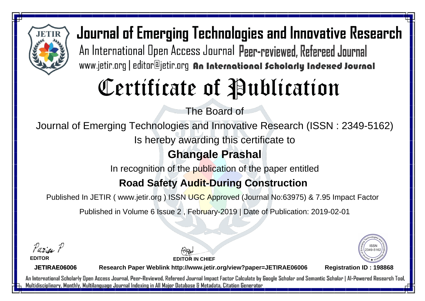

# Certificate of Publication

The Board of

Journal of Emerging Technologies and Innovative Research (ISSN : 2349-5162)

Is hereby awarding this certificate to

### **Ghangale Prashal**

In recognition of the publication of the paper entitled

#### **Road Safety Audit-During Construction**

Published In JETIR ( www.jetir.org ) ISSN UGC Approved (Journal No: 63975) & 7.95 Impact Factor

Published in Volume 6 Issue 2 , February-2019 | Date of Publication: 2019-02-01

Parin P

**EDITOR**

**EDITOR IN CHIEF**



**JETIRAE06006**

**Research Paper Weblink http://www.jetir.org/view?paper=JETIRAE06006 Registration ID : 198868**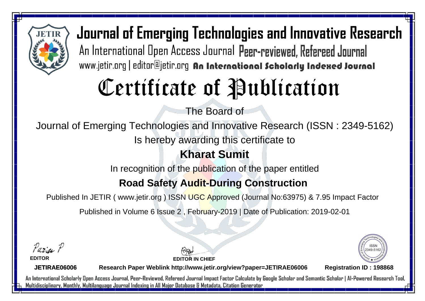

# Certificate of Publication

The Board of

Journal of Emerging Technologies and Innovative Research (ISSN : 2349-5162)

Is hereby awarding this certificate to

### **Kharat Sumit**

In recognition of the publication of the paper entitled

#### **Road Safety Audit-During Construction**

Published In JETIR ( www.jetir.org ) ISSN UGC Approved (Journal No: 63975) & 7.95 Impact Factor

Published in Volume 6 Issue 2 , February-2019 | Date of Publication: 2019-02-01

Parin P **EDITOR**

2349-516

**JETIRAE06006**

**Research Paper Weblink http://www.jetir.org/view?paper=JETIRAE06006 Registration ID : 198868**

**EDITOR IN CHIEF**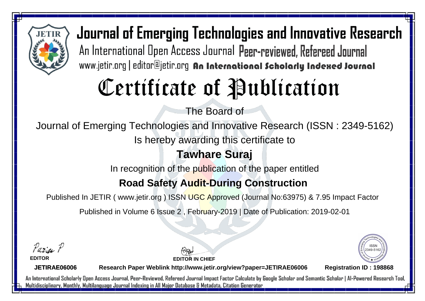

# Certificate of Publication

The Board of

Journal of Emerging Technologies and Innovative Research (ISSN : 2349-5162)

Is hereby awarding this certificate to

### **Tawhare Suraj**

In recognition of the publication of the paper entitled

### **Road Safety Audit-During Construction**

Published In JETIR ( www.jetir.org ) ISSN UGC Approved (Journal No: 63975) & 7.95 Impact Factor

Published in Volume 6 Issue 2 , February-2019 | Date of Publication: 2019-02-01

Parin P **EDITOR**

2349-516

**JETIRAE06006**

**Research Paper Weblink http://www.jetir.org/view?paper=JETIRAE06006 Registration ID : 198868**

**EDITOR IN CHIEF**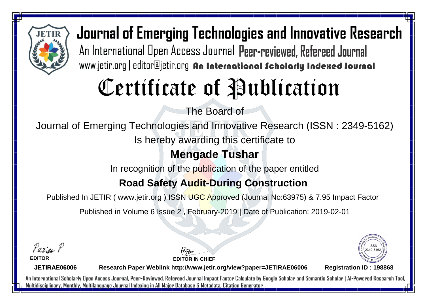

# Certificate of Publication

The Board of

Journal of Emerging Technologies and Innovative Research (ISSN : 2349-5162)

Is hereby awarding this certificate to

#### **Mengade Tushar**

In recognition of the publication of the paper entitled

### **Road Safety Audit-During Construction**

Published In JETIR ( www.jetir.org ) ISSN UGC Approved (Journal No: 63975) & 7.95 Impact Factor

Published in Volume 6 Issue 2 , February-2019 | Date of Publication: 2019-02-01

Parin P **EDITOR**

2349-516

**JETIRAE06006**

**Research Paper Weblink http://www.jetir.org/view?paper=JETIRAE06006 Registration ID : 198868**

**EDITOR IN CHIEF**